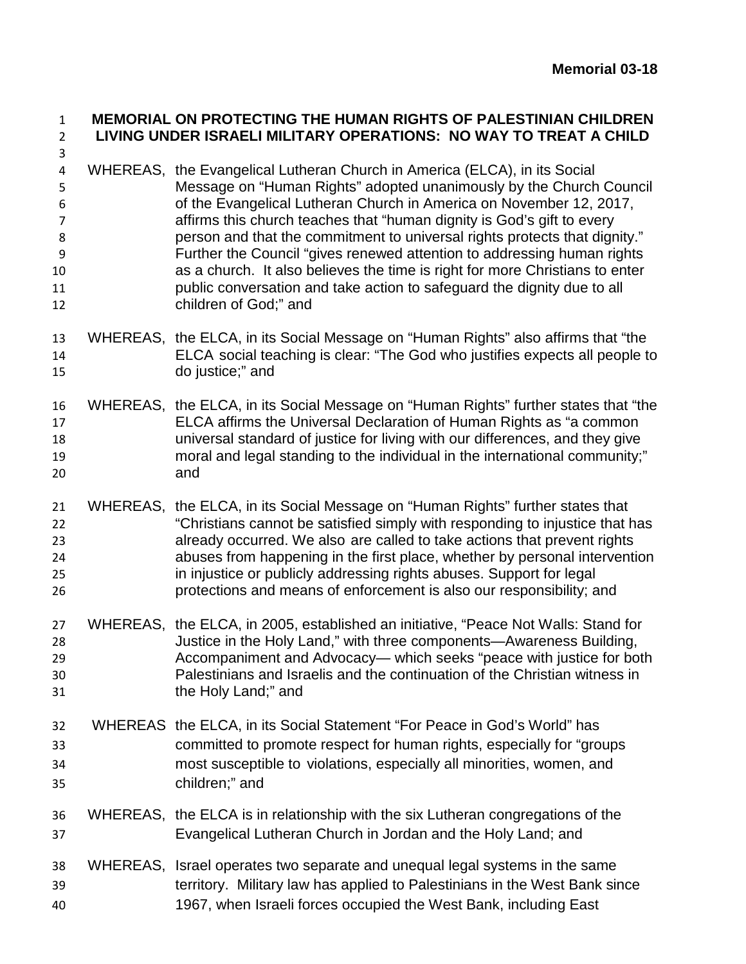## **MEMORIAL ON PROTECTING THE HUMAN RIGHTS OF PALESTINIAN CHILDREN LIVING UNDER ISRAELI MILITARY OPERATIONS: NO WAY TO TREAT A CHILD**

- WHEREAS, the Evangelical Lutheran Church in America (ELCA), in its Social Message on "Human Rights" adopted unanimously by the Church Council of the Evangelical Lutheran Church in America on November 12, 2017, affirms this church teaches that "human dignity is God's gift to every person and that the commitment to universal rights protects that dignity." Further the Council "gives renewed attention to addressing human rights as a church. It also believes the time is right for more Christians to enter **public conversation and take action to safeguard the dignity due to all** children of God;" and
- WHEREAS, the ELCA, in its Social Message on "Human Rights" also affirms that "the ELCA social teaching is clear: "The God who justifies expects all people to do justice;" and
- WHEREAS, the ELCA, in its Social Message on "Human Rights" further states that "the ELCA affirms the Universal Declaration of Human Rights as "a common universal standard of justice for living with our differences, and they give moral and legal standing to the individual in the international community;" and
- WHEREAS, the ELCA, in its Social Message on "Human Rights" further states that "Christians cannot be satisfied simply with responding to injustice that has already occurred. We also are called to take actions that prevent rights abuses from happening in the first place, whether by personal intervention in injustice or publicly addressing rights abuses. Support for legal protections and means of enforcement is also our responsibility; and
- WHEREAS, the ELCA, in 2005, established an initiative, "Peace Not Walls: Stand for Justice in the Holy Land," with three components—Awareness Building, Accompaniment and Advocacy— which seeks "peace with justice for both Palestinians and Israelis and the continuation of the Christian witness in the Holy Land;" and
- WHEREAS the ELCA, in its Social Statement "For Peace in God's World" has committed to promote respect for human rights, especially for "groups most susceptible to violations, especially all minorities, women, and children;" and
- WHEREAS, the ELCA is in relationship with the six Lutheran congregations of the Evangelical Lutheran Church in Jordan and the Holy Land; and
- WHEREAS, Israel operates two separate and unequal legal systems in the same territory. Military law has applied to Palestinians in the West Bank since 1967, when Israeli forces occupied the West Bank, including East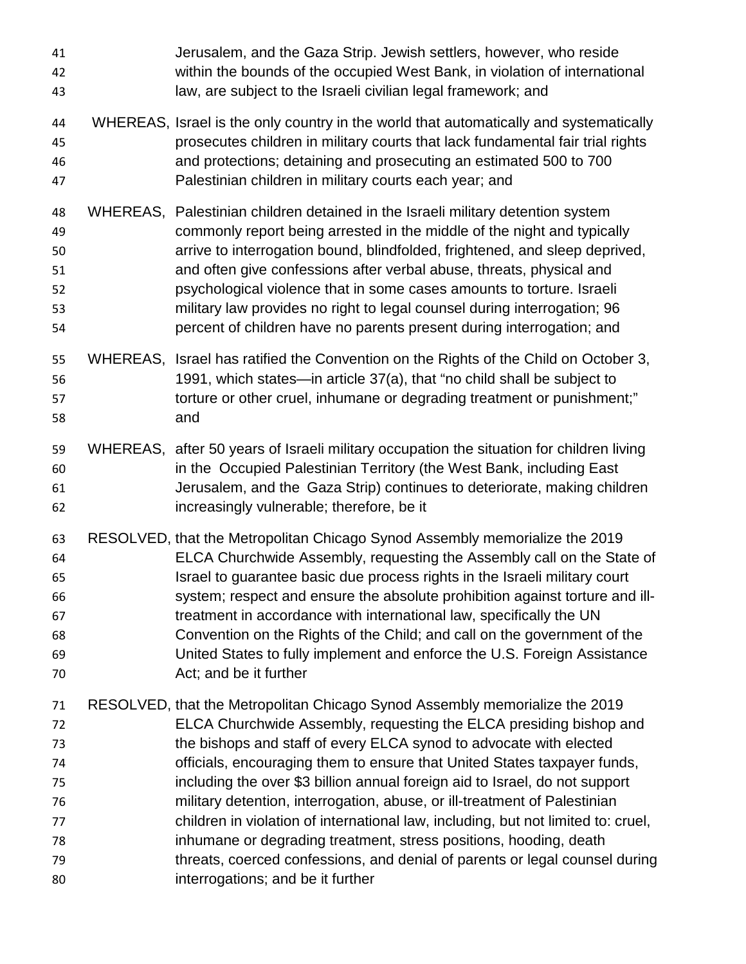| 41<br>42<br>43                                           | Jerusalem, and the Gaza Strip. Jewish settlers, however, who reside<br>within the bounds of the occupied West Bank, in violation of international<br>law, are subject to the Israeli civilian legal framework; and                                                                                                                                                                                                                                                                                                                                                                                                                                                                                                                            |
|----------------------------------------------------------|-----------------------------------------------------------------------------------------------------------------------------------------------------------------------------------------------------------------------------------------------------------------------------------------------------------------------------------------------------------------------------------------------------------------------------------------------------------------------------------------------------------------------------------------------------------------------------------------------------------------------------------------------------------------------------------------------------------------------------------------------|
| 44<br>45<br>46<br>47                                     | WHEREAS, Israel is the only country in the world that automatically and systematically<br>prosecutes children in military courts that lack fundamental fair trial rights<br>and protections; detaining and prosecuting an estimated 500 to 700<br>Palestinian children in military courts each year; and                                                                                                                                                                                                                                                                                                                                                                                                                                      |
| 48<br>49<br>50<br>51<br>52<br>53<br>54                   | WHEREAS, Palestinian children detained in the Israeli military detention system<br>commonly report being arrested in the middle of the night and typically<br>arrive to interrogation bound, blindfolded, frightened, and sleep deprived,<br>and often give confessions after verbal abuse, threats, physical and<br>psychological violence that in some cases amounts to torture. Israeli<br>military law provides no right to legal counsel during interrogation; 96<br>percent of children have no parents present during interrogation; and                                                                                                                                                                                               |
| 55<br>56<br>57<br>58                                     | WHEREAS, Israel has ratified the Convention on the Rights of the Child on October 3,<br>1991, which states—in article 37(a), that "no child shall be subject to<br>torture or other cruel, inhumane or degrading treatment or punishment;"<br>and                                                                                                                                                                                                                                                                                                                                                                                                                                                                                             |
| 59<br>60<br>61<br>62                                     | WHEREAS, after 50 years of Israeli military occupation the situation for children living<br>in the Occupied Palestinian Territory (the West Bank, including East<br>Jerusalem, and the Gaza Strip) continues to deteriorate, making children<br>increasingly vulnerable; therefore, be it                                                                                                                                                                                                                                                                                                                                                                                                                                                     |
| 63<br>64<br>65<br>66<br>67<br>68<br>69<br>70             | RESOLVED, that the Metropolitan Chicago Synod Assembly memorialize the 2019<br>ELCA Churchwide Assembly, requesting the Assembly call on the State of<br>Israel to guarantee basic due process rights in the Israeli military court<br>system; respect and ensure the absolute prohibition against torture and ill-<br>treatment in accordance with international law, specifically the UN<br>Convention on the Rights of the Child; and call on the government of the<br>United States to fully implement and enforce the U.S. Foreign Assistance<br>Act; and be it further                                                                                                                                                                  |
| 71<br>72<br>73<br>74<br>75<br>76<br>77<br>78<br>79<br>80 | RESOLVED, that the Metropolitan Chicago Synod Assembly memorialize the 2019<br>ELCA Churchwide Assembly, requesting the ELCA presiding bishop and<br>the bishops and staff of every ELCA synod to advocate with elected<br>officials, encouraging them to ensure that United States taxpayer funds,<br>including the over \$3 billion annual foreign aid to Israel, do not support<br>military detention, interrogation, abuse, or ill-treatment of Palestinian<br>children in violation of international law, including, but not limited to: cruel,<br>inhumane or degrading treatment, stress positions, hooding, death<br>threats, coerced confessions, and denial of parents or legal counsel during<br>interrogations; and be it further |